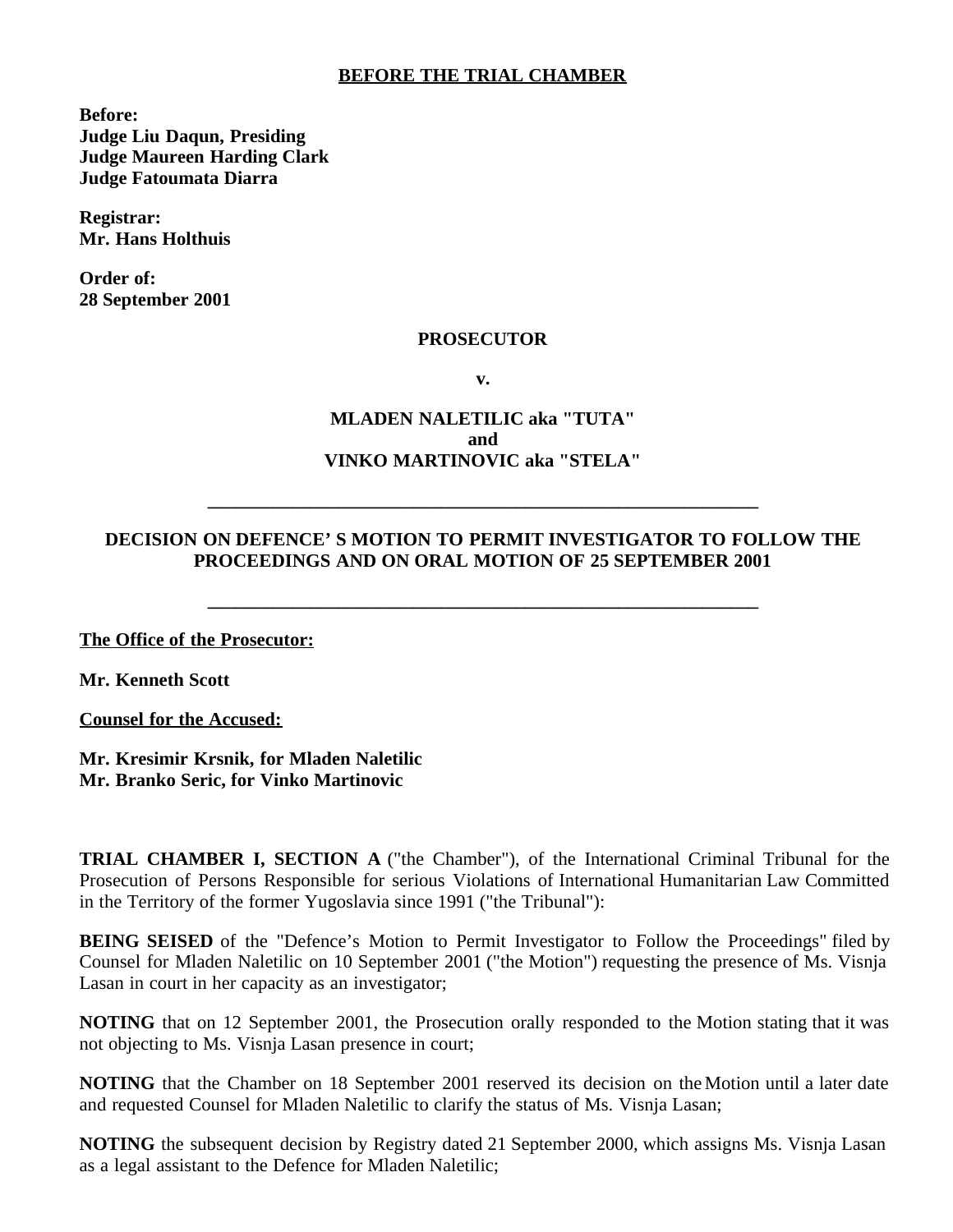## **BEFORE THE TRIAL CHAMBER**

**Before: Judge Liu Daqun, Presiding Judge Maureen Harding Clark Judge Fatoumata Diarra**

**Registrar: Mr. Hans Holthuis**

**Order of: 28 September 2001**

## **PROSECUTOR**

**v.**

## **MLADEN NALETILIC aka "TUTA" and VINKO MARTINOVIC aka "STELA"**

## **DECISION ON DEFENCE' S MOTION TO PERMIT INVESTIGATOR TO FOLLOW THE PROCEEDINGS AND ON ORAL MOTION OF 25 SEPTEMBER 2001**

**\_\_\_\_\_\_\_\_\_\_\_\_\_\_\_\_\_\_\_\_\_\_\_\_\_\_\_\_\_\_\_\_\_\_\_\_\_\_\_\_\_\_\_\_\_\_\_\_\_\_\_\_\_\_\_\_\_\_\_**

**\_\_\_\_\_\_\_\_\_\_\_\_\_\_\_\_\_\_\_\_\_\_\_\_\_\_\_\_\_\_\_\_\_\_\_\_\_\_\_\_\_\_\_\_\_\_\_\_\_\_\_\_\_\_\_\_\_\_\_**

**The Office of the Prosecutor:**

**Mr. Kenneth Scott**

**Counsel for the Accused:**

**Mr. Kresimir Krsnik, for Mladen Naletilic Mr. Branko Seric, for Vinko Martinovic**

**TRIAL CHAMBER I, SECTION A** ("the Chamber"), of the International Criminal Tribunal for the Prosecution of Persons Responsible for serious Violations of International Humanitarian Law Committed in the Territory of the former Yugoslavia since 1991 ("the Tribunal"):

**BEING SEISED** of the "Defence's Motion to Permit Investigator to Follow the Proceedings" filed by Counsel for Mladen Naletilic on 10 September 2001 ("the Motion") requesting the presence of Ms. Visnja Lasan in court in her capacity as an investigator;

**NOTING** that on 12 September 2001, the Prosecution orally responded to the Motion stating that it was not objecting to Ms. Visnja Lasan presence in court;

**NOTING** that the Chamber on 18 September 2001 reserved its decision on the Motion until a later date and requested Counsel for Mladen Naletilic to clarify the status of Ms. Visnja Lasan;

**NOTING** the subsequent decision by Registry dated 21 September 2000, which assigns Ms. Visnja Lasan as a legal assistant to the Defence for Mladen Naletilic;